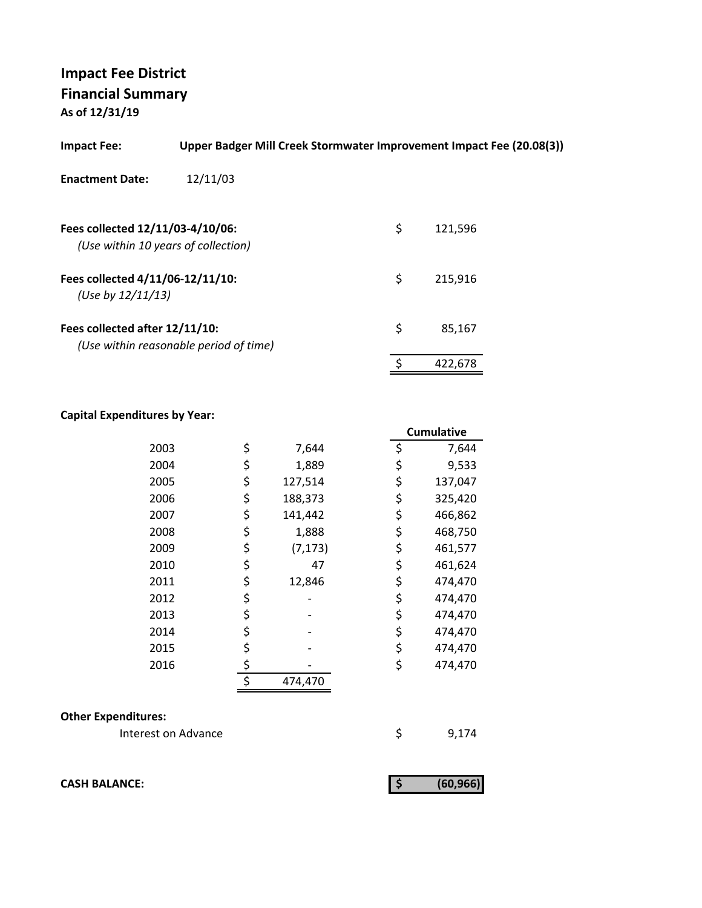| Upper Badger Mill Creek Stormwater Improvement Impact Fee (20.08(3))<br><b>Impact Fee:</b> |                                        |    |         |  |  |
|--------------------------------------------------------------------------------------------|----------------------------------------|----|---------|--|--|
| <b>Enactment Date:</b>                                                                     | 12/11/03                               |    |         |  |  |
| Fees collected 12/11/03-4/10/06:                                                           | (Use within 10 years of collection)    | \$ | 121,596 |  |  |
| Fees collected 4/11/06-12/11/10:<br>(Use by $12/11/13$ )                                   |                                        | \$ | 215,916 |  |  |
| Fees collected after 12/11/10:                                                             | (Use within reasonable period of time) | \$ | 85,167  |  |  |
|                                                                                            |                                        | \$ | 422.678 |  |  |

### **Capital Expenditures by Year:**

|      |                | <b>Cumulative</b> |
|------|----------------|-------------------|
| 2003 | \$<br>7,644    | \$<br>7,644       |
| 2004 | \$<br>1,889    | \$<br>9,533       |
| 2005 | \$<br>127,514  | \$<br>137,047     |
| 2006 | \$<br>188,373  | \$<br>325,420     |
| 2007 | \$<br>141,442  | \$<br>466,862     |
| 2008 | \$<br>1,888    | \$<br>468,750     |
| 2009 | \$<br>(7, 173) | \$<br>461,577     |
| 2010 | \$<br>47       | \$<br>461,624     |
| 2011 | \$<br>12,846   | \$<br>474,470     |
| 2012 | \$             | \$<br>474,470     |
| 2013 | \$             | \$<br>474,470     |
| 2014 | \$             | \$<br>474,470     |
| 2015 | \$             | \$<br>474,470     |
| 2016 | \$             | \$<br>474,470     |
|      | \$<br>474,470  |                   |

#### **Other Expenditures:**

Interest on Advance \$9,174

**CASH BALANCE:** (60,966)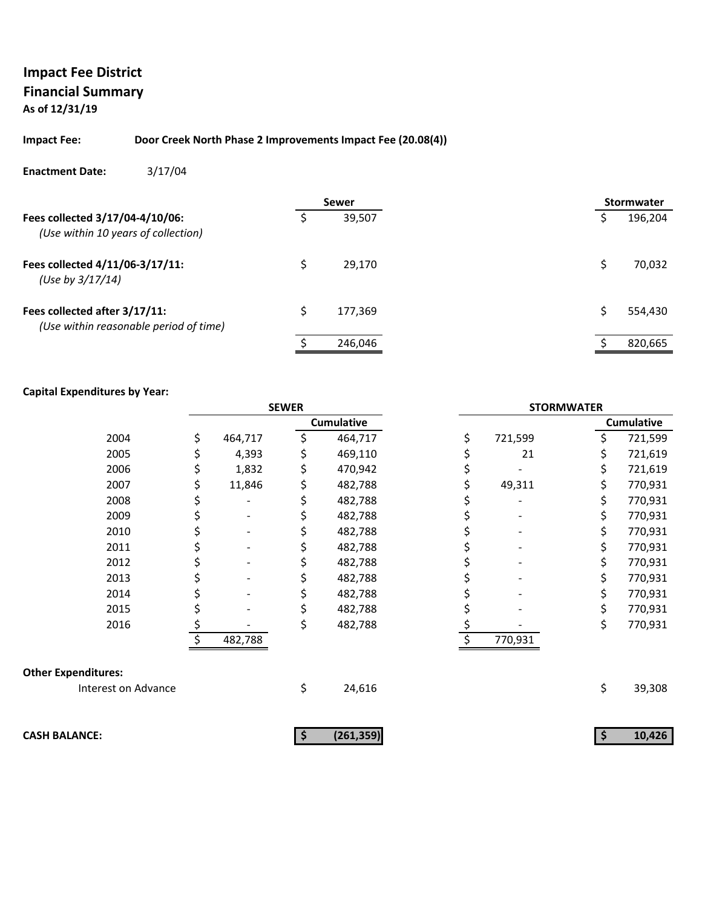#### **Impact Fee: Door Creek North Phase 2 Improvements Impact Fee (20.08(4))**

#### **Enactment Date:** 3/17/04

|                                                                         | <b>Sewer</b> |         |  | <b>Stormwater</b> |         |
|-------------------------------------------------------------------------|--------------|---------|--|-------------------|---------|
| Fees collected 3/17/04-4/10/06:<br>(Use within 10 years of collection)  |              | 39.507  |  |                   | 196,204 |
| Fees collected 4/11/06-3/17/11:<br>(Use by $3/17/14$ )                  | Ś            | 29.170  |  |                   | 70,032  |
| Fees collected after 3/17/11:<br>(Use within reasonable period of time) | Ś            | 177,369 |  |                   | 554,430 |
|                                                                         |              | 246,046 |  |                   | 820,665 |

|                            | <b>SEWER</b> |         |    |                   | <b>STORMWATER</b> |         |    |                   |
|----------------------------|--------------|---------|----|-------------------|-------------------|---------|----|-------------------|
|                            |              |         |    | <b>Cumulative</b> |                   |         |    | <b>Cumulative</b> |
| 2004                       | \$           | 464,717 |    | 464,717           | \$                | 721,599 | \$ | 721,599           |
| 2005                       | \$           | 4,393   |    | 469,110           |                   | 21      | \$ | 721,619           |
| 2006                       | \$           | 1,832   |    | 470,942           |                   |         | \$ | 721,619           |
| 2007                       | \$           | 11,846  | Ş  | 482,788           |                   | 49,311  | \$ | 770,931           |
| 2008                       |              |         |    | 482,788           |                   |         | \$ | 770,931           |
| 2009                       |              |         |    | 482,788           |                   |         | \$ | 770,931           |
| 2010                       |              |         |    | 482,788           |                   |         | \$ | 770,931           |
| 2011                       |              |         |    | 482,788           |                   |         | \$ | 770,931           |
| 2012                       |              |         |    | 482,788           |                   |         | \$ | 770,931           |
| 2013                       |              |         |    | 482,788           |                   |         | \$ | 770,931           |
| 2014                       |              |         |    | 482,788           |                   |         | \$ | 770,931           |
| 2015                       |              |         |    | 482,788           |                   |         | \$ | 770,931           |
| 2016                       |              |         | \$ | 482,788           |                   |         | \$ | 770,931           |
|                            |              | 482,788 |    |                   | \$                | 770,931 |    |                   |
| <b>Other Expenditures:</b> |              |         |    |                   |                   |         |    |                   |
| Interest on Advance        |              |         | \$ | 24,616            |                   |         | \$ | 39,308            |
|                            |              |         |    |                   |                   |         |    |                   |
| <b>CASH BALANCE:</b>       |              |         | \$ | (261, 359)        |                   |         | \$ | 10,426            |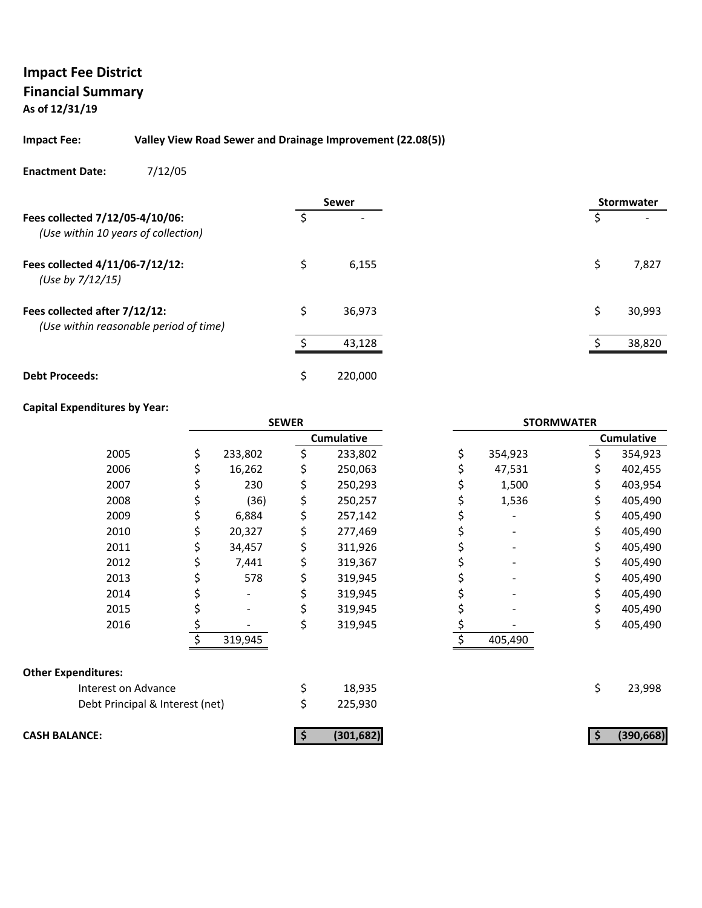#### **Impact Fee: Valley View Road Sewer and Drainage Improvement (22.08(5))**

#### **Enactment Date:** 7/12/05

|                                                                         |    | <b>Sewer</b> | <b>Stormwater</b> |        |  |
|-------------------------------------------------------------------------|----|--------------|-------------------|--------|--|
| Fees collected 7/12/05-4/10/06:<br>(Use within 10 years of collection)  |    |              | \$                |        |  |
| Fees collected 4/11/06-7/12/12:<br>(Use by 7/12/15)                     | Ś  | 6,155        | Ś                 | 7,827  |  |
| Fees collected after 7/12/12:<br>(Use within reasonable period of time) | Ŝ. | 36,973       | Ś                 | 30,993 |  |
|                                                                         | ¢  | 43,128       |                   | 38,820 |  |
| <b>Debt Proceeds:</b>                                                   | Ś  | 220,000      |                   |        |  |

|                                 | <b>SEWER</b> |         |    | <b>STORMWATER</b> |               |     |                   |
|---------------------------------|--------------|---------|----|-------------------|---------------|-----|-------------------|
|                                 |              |         |    | <b>Cumulative</b> |               |     | <b>Cumulative</b> |
| 2005                            | \$           | 233,802 | \$ | 233,802           | \$<br>354,923 | Ś.  | 354,923           |
| 2006                            |              | 16,262  | \$ | 250,063           | 47,531        |     | 402,455           |
| 2007                            | Ş            | 230     | \$ | 250,293           | 1,500         | \$  | 403,954           |
| 2008                            | \$           | (36)    | \$ | 250,257           | 1,536         | \$  | 405,490           |
| 2009                            | \$           | 6,884   | \$ | 257,142           |               | S   | 405,490           |
| 2010                            | \$           | 20,327  | \$ | 277,469           |               |     | 405,490           |
| 2011                            | \$           | 34,457  | \$ | 311,926           |               | \$  | 405,490           |
| 2012                            | \$           | 7,441   | \$ | 319,367           |               | \$. | 405,490           |
| 2013                            | Ş            | 578     | \$ | 319,945           |               | S.  | 405,490           |
| 2014                            |              |         |    | 319,945           |               |     | 405,490           |
| 2015                            |              |         | \$ | 319,945           |               | \$  | 405,490           |
| 2016                            | \$           |         | \$ | 319,945           |               | \$  | 405,490           |
|                                 |              | 319,945 |    |                   | 405,490       |     |                   |
| <b>Other Expenditures:</b>      |              |         |    |                   |               |     |                   |
| Interest on Advance             |              |         | \$ | 18,935            |               | \$  | 23,998            |
| Debt Principal & Interest (net) |              |         | \$ | 225,930           |               |     |                   |
| <b>CASH BALANCE:</b>            |              |         |    | (301, 682)        |               |     | (390, 668)        |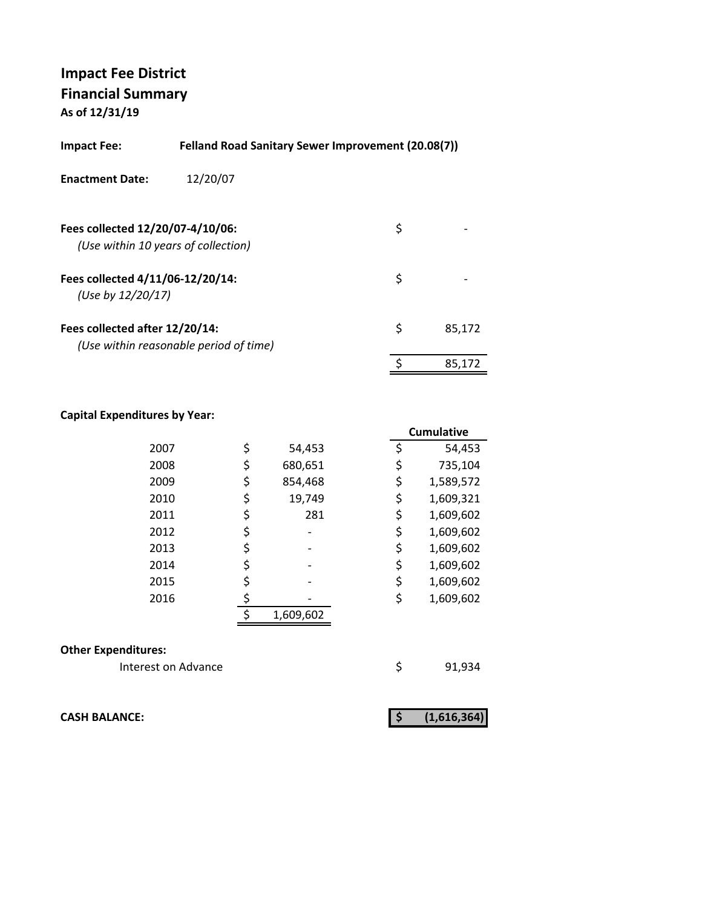| <b>Felland Road Sanitary Sewer Improvement (20.08(7))</b><br>Impact Fee: |                                        |    |        |  |  |
|--------------------------------------------------------------------------|----------------------------------------|----|--------|--|--|
| <b>Enactment Date:</b>                                                   | 12/20/07                               |    |        |  |  |
| Fees collected 12/20/07-4/10/06:                                         | (Use within 10 years of collection)    | \$ |        |  |  |
| Fees collected 4/11/06-12/20/14:<br>(Use by 12/20/17)                    |                                        | \$ |        |  |  |
| Fees collected after 12/20/14:                                           | (Use within reasonable period of time) | \$ | 85.172 |  |  |
|                                                                          |                                        | \$ | 85.172 |  |  |

#### **Capital Expenditures by Year:**

|               | <b>Cumulative</b> |
|---------------|-------------------|
| \$<br>54,453  | \$<br>54,453      |
| \$<br>680,651 | \$<br>735,104     |
| \$<br>854,468 | \$<br>1,589,572   |
| \$<br>19,749  | \$<br>1,609,321   |
| \$<br>281     | \$<br>1,609,602   |
| \$            | \$<br>1,609,602   |
| \$            | \$<br>1,609,602   |
| \$            | \$<br>1,609,602   |
| \$            | \$<br>1,609,602   |
|               | \$<br>1,609,602   |
| 1,609,602     |                   |
|               |                   |

#### **Other Expenditures:**

Interest on Advance **1920** \$91,934

**CASH BALANCE:** (1,616,364)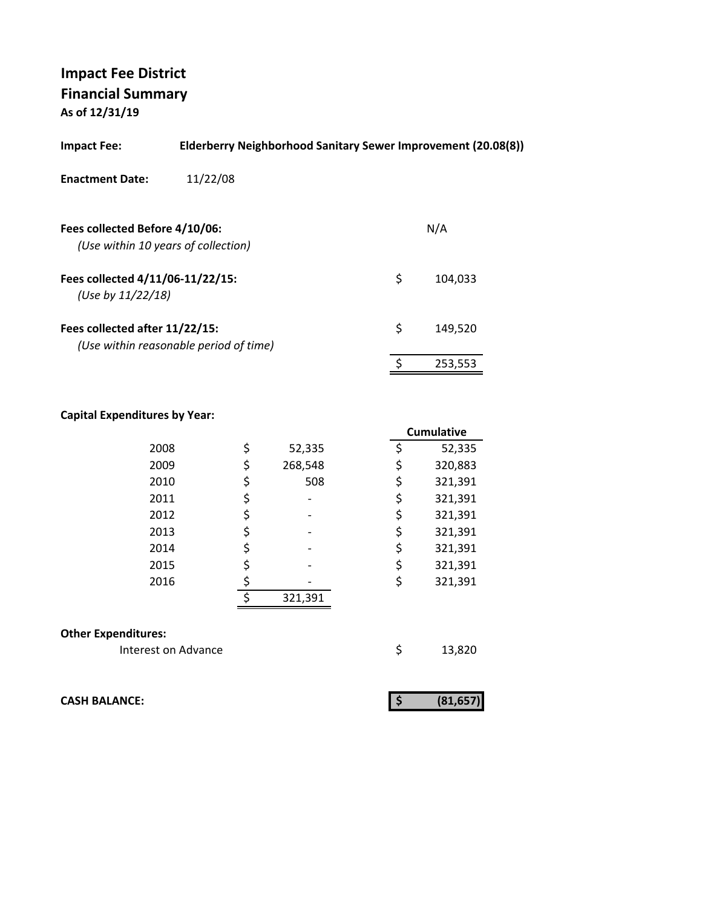| <b>Impact Fee:</b>                                                    | Elderberry Neighborhood Sanitary Sewer Improvement (20.08(8)) |    |         |  |  |  |
|-----------------------------------------------------------------------|---------------------------------------------------------------|----|---------|--|--|--|
| <b>Enactment Date:</b>                                                | 11/22/08                                                      |    |         |  |  |  |
| Fees collected Before 4/10/06:<br>(Use within 10 years of collection) |                                                               |    | N/A     |  |  |  |
| Fees collected 4/11/06-11/22/15:<br>(Use by $11/22/18$ )              |                                                               | \$ | 104.033 |  |  |  |
| Fees collected after 11/22/15:                                        | (Use within reasonable period of time)                        | \$ | 149,520 |  |  |  |
|                                                                       |                                                               |    | 253,553 |  |  |  |

#### **Capital Expenditures by Year:**

|                            |    |         | <b>Cumulative</b> |
|----------------------------|----|---------|-------------------|
| 2008                       | \$ | 52,335  | \$<br>52,335      |
| 2009                       | \$ | 268,548 | \$<br>320,883     |
| 2010                       | \$ | 508     | \$<br>321,391     |
| 2011                       | \$ |         | \$<br>321,391     |
| 2012                       | \$ |         | \$<br>321,391     |
| 2013                       | \$ |         | \$<br>321,391     |
| 2014                       | \$ |         | \$<br>321,391     |
| 2015                       | \$ |         | \$<br>321,391     |
| 2016                       | \$ |         | \$<br>321,391     |
|                            | ¢  | 321,391 |                   |
|                            |    |         |                   |
| <b>Other Expenditures:</b> |    |         |                   |
| Interest on Advance        |    |         | \$<br>13,820      |

**CASH BALANCE: (81,657) \$**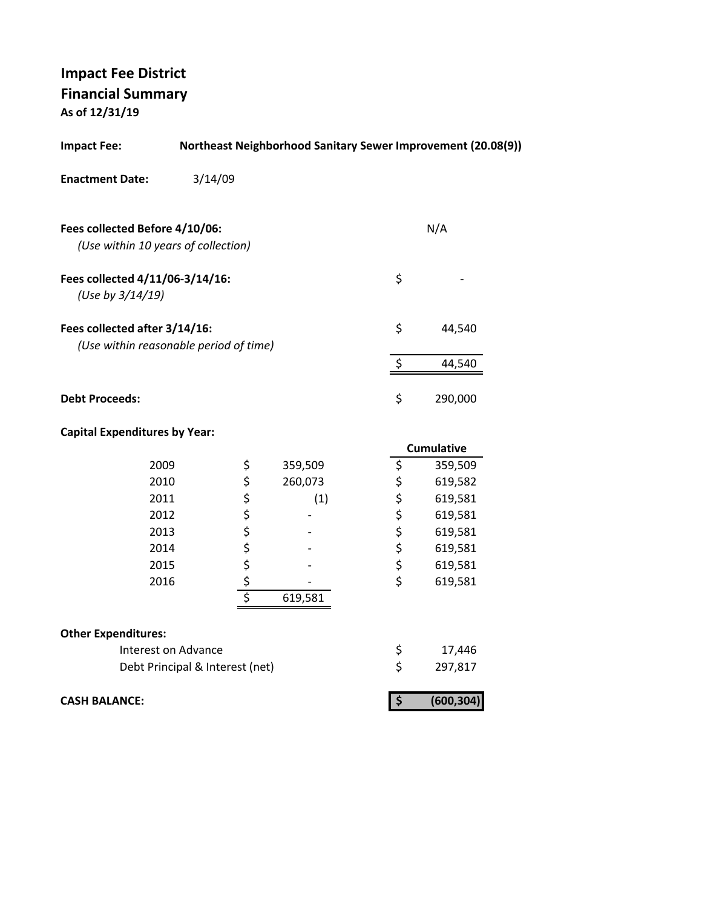| <b>Impact Fee:</b>                                                      |                                 |          | Northeast Neighborhood Sanitary Sewer Improvement (20.08(9)) |          |            |  |
|-------------------------------------------------------------------------|---------------------------------|----------|--------------------------------------------------------------|----------|------------|--|
| <b>Enactment Date:</b>                                                  | 3/14/09                         |          |                                                              |          |            |  |
| Fees collected Before 4/10/06:                                          |                                 |          |                                                              |          | N/A        |  |
| (Use within 10 years of collection)                                     |                                 |          |                                                              |          |            |  |
| Fees collected 4/11/06-3/14/16:<br>(Use by 3/14/19)                     |                                 |          |                                                              | \$       |            |  |
| Fees collected after 3/14/16:<br>(Use within reasonable period of time) |                                 |          |                                                              | \$       | 44,540     |  |
|                                                                         |                                 |          |                                                              | \$       | 44,540     |  |
| <b>Debt Proceeds:</b>                                                   |                                 |          |                                                              | \$       | 290,000    |  |
| <b>Capital Expenditures by Year:</b>                                    |                                 |          |                                                              |          |            |  |
|                                                                         |                                 |          |                                                              |          | Cumulative |  |
| 2009                                                                    |                                 | \$       | 359,509                                                      | \$       | 359,509    |  |
| 2010                                                                    |                                 | \$<br>\$ | 260,073                                                      | \$       | 619,582    |  |
| 2011                                                                    |                                 |          | (1)                                                          | \$       | 619,581    |  |
| 2012                                                                    |                                 |          |                                                              | \$       | 619,581    |  |
| 2013                                                                    |                                 |          |                                                              | \$<br>\$ | 619,581    |  |
| 2014                                                                    |                                 |          |                                                              |          | 619,581    |  |
| 2015                                                                    |                                 |          |                                                              | \$       | 619,581    |  |
| 2016                                                                    |                                 | こくさくし    |                                                              | \$       | 619,581    |  |
|                                                                         |                                 |          | 619,581                                                      |          |            |  |
| <b>Other Expenditures:</b>                                              |                                 |          |                                                              |          |            |  |
|                                                                         | Interest on Advance             |          |                                                              | \$       | 17,446     |  |
|                                                                         | Debt Principal & Interest (net) |          |                                                              | \$       | 297,817    |  |

**CASH BALANCE:** (600,304)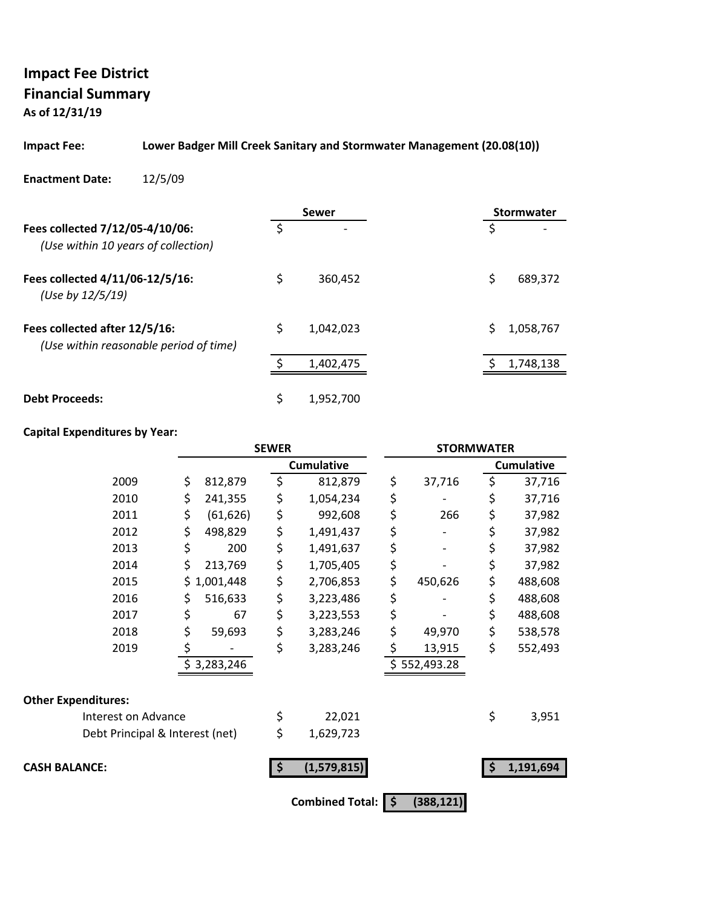# **Impact Fee District Financial Summary**

**As of 12/31/19**

#### **Impact Fee: Lower Badger Mill Creek Sanitary and Stormwater Management (20.08(10))**

#### **Enactment Date:** 12/5/09

|                                                                         |    | Sewer          | Stormwater |           |  |
|-------------------------------------------------------------------------|----|----------------|------------|-----------|--|
| Fees collected 7/12/05-4/10/06:<br>(Use within 10 years of collection)  | Ś  | $\overline{ }$ | S          |           |  |
| Fees collected 4/11/06-12/5/16:<br>(Use by 12/5/19)                     | \$ | 360,452        | \$         | 689,372   |  |
| Fees collected after 12/5/16:<br>(Use within reasonable period of time) | \$ | 1.042.023      | Ś          | 1,058,767 |  |
|                                                                         | c  | 1,402,475      |            | 1,748,138 |  |
| <b>Debt Proceeds:</b>                                                   | \$ | 1,952,700      |            |           |  |

|                                 | <b>SEWER</b> |             |    | <b>STORMWATER</b>      |    |              |    |                   |
|---------------------------------|--------------|-------------|----|------------------------|----|--------------|----|-------------------|
|                                 |              |             |    | <b>Cumulative</b>      |    |              |    | <b>Cumulative</b> |
| 2009                            | \$           | 812,879     | \$ | 812,879                | \$ | 37,716       | \$ | 37,716            |
| 2010                            | \$           | 241,355     | \$ | 1,054,234              | \$ |              | \$ | 37,716            |
| 2011                            | \$           | (61, 626)   | \$ | 992,608                | \$ | 266          | \$ | 37,982            |
| 2012                            | \$           | 498,829     | \$ | 1,491,437              | \$ |              | \$ | 37,982            |
| 2013                            | \$           | 200         | \$ | 1,491,637              | \$ |              | \$ | 37,982            |
| 2014                            | \$           | 213,769     | \$ | 1,705,405              | \$ |              | \$ | 37,982            |
| 2015                            | \$           | 1,001,448   | \$ | 2,706,853              | \$ | 450,626      | \$ | 488,608           |
| 2016                            | Ş            | 516,633     | \$ | 3,223,486              | \$ |              | \$ | 488,608           |
| 2017                            | \$           | 67          | \$ | 3,223,553              | \$ |              | \$ | 488,608           |
| 2018                            | \$           | 59,693      | \$ | 3,283,246              | \$ | 49,970       | \$ | 538,578           |
| 2019                            | \$           |             | \$ | 3,283,246              | \$ | 13,915       | \$ | 552,493           |
|                                 |              | \$3,283,246 |    |                        |    | \$552,493.28 |    |                   |
| <b>Other Expenditures:</b>      |              |             |    |                        |    |              |    |                   |
| Interest on Advance             |              |             | \$ | 22,021                 |    |              | \$ | 3,951             |
| Debt Principal & Interest (net) |              |             | \$ | 1,629,723              |    |              |    |                   |
| <b>CASH BALANCE:</b>            |              |             | \$ | (1,579,815)            |    |              | \$ | 1,191,694         |
|                                 |              |             |    | <b>Combined Total:</b> | \$ | (388, 121)   |    |                   |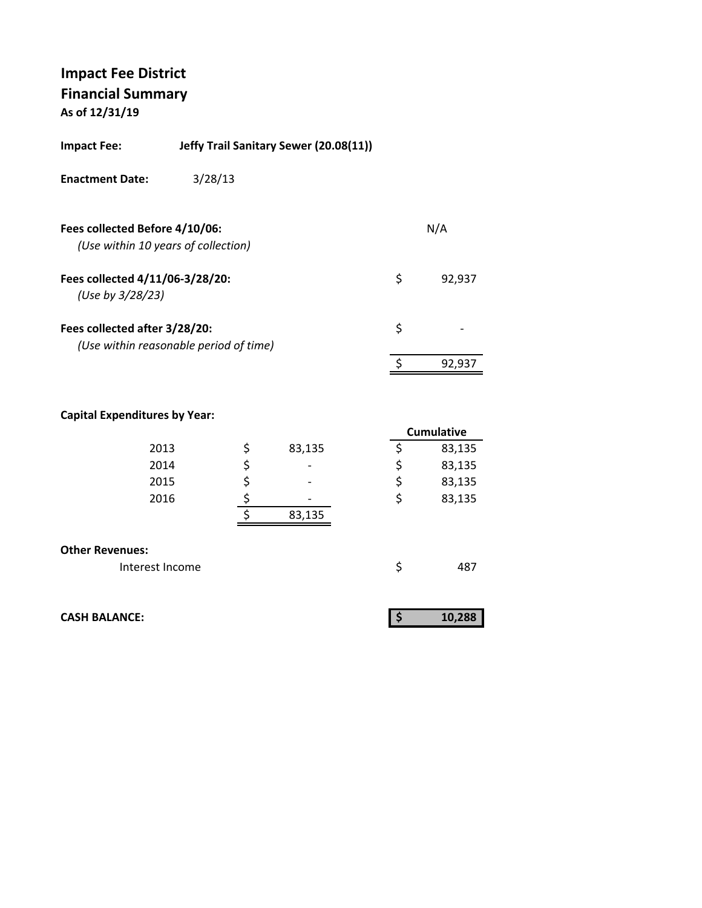# **Impact Fee District Financial Summary**

**As of 12/31/19**

| Impact Fee:            | Jeffy Trail Sanitary Sewer (20.08(11)) |
|------------------------|----------------------------------------|
| <b>Enactment Date:</b> | 3/28/13                                |

| Fees collected 4/11/06-3/28/20:<br>S<br>92.937<br>(Use by 3/28/23)<br>Fees collected after 3/28/20:<br>Ś<br>(Use within reasonable period of time)<br>92.937 | Fees collected Before 4/10/06:<br>(Use within 10 years of collection) | N/A |
|--------------------------------------------------------------------------------------------------------------------------------------------------------------|-----------------------------------------------------------------------|-----|
|                                                                                                                                                              |                                                                       |     |
|                                                                                                                                                              |                                                                       |     |
|                                                                                                                                                              |                                                                       |     |

|                        |              | <b>Cumulative</b> |
|------------------------|--------------|-------------------|
| 2013                   | \$<br>83,135 | \$<br>83,135      |
| 2014                   | \$           | \$<br>83,135      |
| 2015                   | \$           | \$<br>83,135      |
| 2016                   |              | \$<br>83,135      |
|                        | 83,135       |                   |
|                        |              |                   |
| <b>Other Revenues:</b> |              |                   |
| Interest Income        |              | \$<br>487         |

|  | <b>CASH BALANCE:</b> |
|--|----------------------|
|  |                      |

| <b>CASH BALANCE:</b> | 10,288 |
|----------------------|--------|
|                      |        |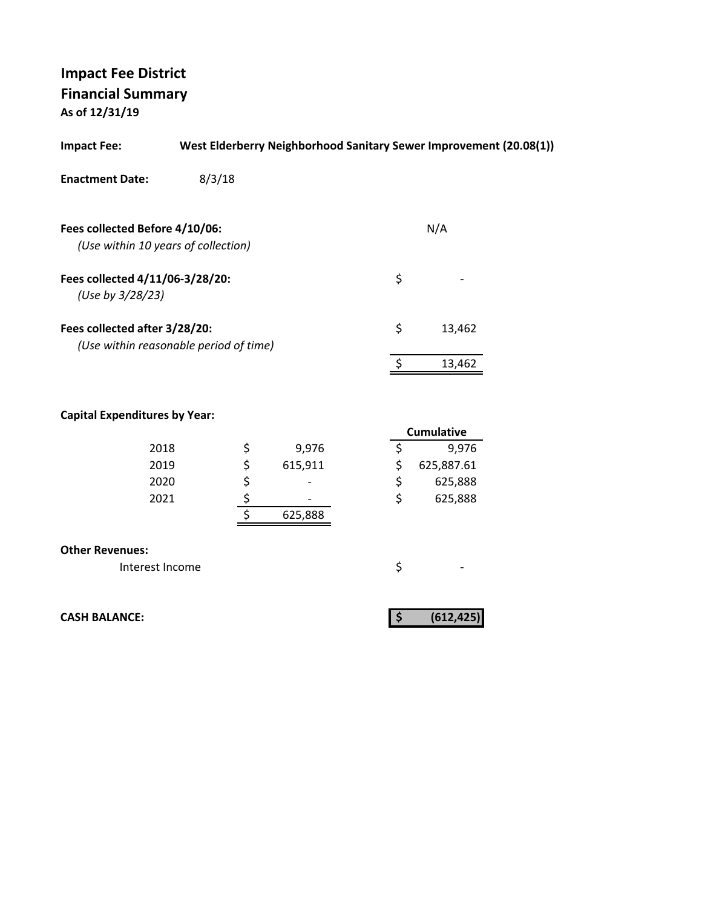| <b>Impact Fee:</b>                                                    | West Elderberry Neighborhood Sanitary Sewer Improvement (20.08(1)) |              |  |
|-----------------------------------------------------------------------|--------------------------------------------------------------------|--------------|--|
| <b>Enactment Date:</b>                                                | 8/3/18                                                             |              |  |
| Fees collected Before 4/10/06:<br>(Use within 10 years of collection) |                                                                    | N/A          |  |
| Fees collected 4/11/06-3/28/20:<br>(Use by 3/28/23)                   |                                                                    | \$           |  |
| Fees collected after 3/28/20:                                         | (Use within reasonable period of time)                             | \$<br>13,462 |  |
|                                                                       |                                                                    | 13,462       |  |

#### **Capital Expenditures by Year:**

|      |  |         |    | <b>Cumulative</b> |
|------|--|---------|----|-------------------|
| 2018 |  | 9,976   |    | 9,976             |
| 2019 |  | 615,911 |    | 625,887.61        |
| 2020 |  |         |    | 625,888           |
| 2021 |  | -       | \$ | 625,888           |
|      |  | 625,888 |    |                   |
|      |  |         |    |                   |

|  | <b>Other Revenues:</b> |
|--|------------------------|
|--|------------------------|

Interest Income  $\zeta$ 

**CASH BALANCE:** (612,425)